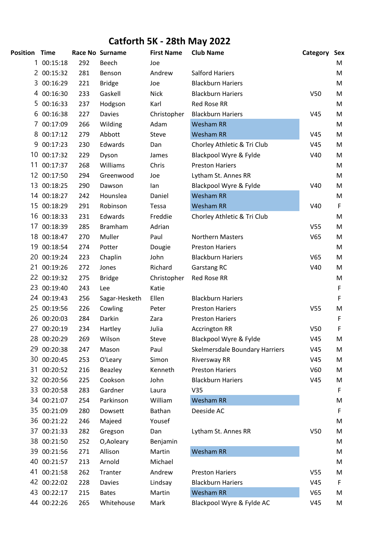## **Catforth 5K - 28th May 2022**

| Position | <b>Time</b> |     | Race No Surname | <b>First Name</b> | <b>Club Name</b>               | Category        | Sex |
|----------|-------------|-----|-----------------|-------------------|--------------------------------|-----------------|-----|
| 1        | 00:15:18    | 292 | Beech           | Joe               |                                |                 | М   |
|          | 2 00:15:32  | 281 | Benson          | Andrew            | <b>Salford Hariers</b>         |                 | M   |
|          | 3 00:16:29  | 221 | <b>Bridge</b>   | Joe               | <b>Blackburn Hariers</b>       |                 | M   |
|          | 4 00:16:30  | 233 | Gaskell         | <b>Nick</b>       | <b>Blackburn Hariers</b>       | V <sub>50</sub> | M   |
|          | 5 00:16:33  | 237 | Hodgson         | Karl              | <b>Red Rose RR</b>             |                 | M   |
| 6        | 00:16:38    | 227 | <b>Davies</b>   | Christopher       | <b>Blackburn Hariers</b>       | V45             | M   |
| 7        | 00:17:09    | 266 | Wilding         | Adam              | <b>Wesham RR</b>               |                 | M   |
| 8        | 00:17:12    | 279 | Abbott          | Steve             | <b>Wesham RR</b>               | V45             | M   |
| 9        | 00:17:23    | 230 | Edwards         | Dan               | Chorley Athletic & Tri Club    | V45             | M   |
| 10       | 00:17:32    | 229 | Dyson           | James             | Blackpool Wyre & Fylde         | V40             | M   |
| 11       | 00:17:37    | 268 | Williams        | Chris             | <b>Preston Hariers</b>         |                 | M   |
| 12       | 00:17:50    | 294 | Greenwood       | Joe               | Lytham St. Annes RR            |                 | M   |
| 13       | 00:18:25    | 290 | Dawson          | lan               | Blackpool Wyre & Fylde         | V40             | M   |
| 14       | 00:18:27    | 242 | Hounslea        | Daniel            | <b>Wesham RR</b>               |                 | M   |
| 15       | 00:18:29    | 291 | Robinson        | Tessa             | <b>Wesham RR</b>               | V40             | F   |
|          | 16 00:18:33 | 231 | Edwards         | Freddie           | Chorley Athletic & Tri Club    |                 | M   |
| 17       | 00:18:39    | 285 | <b>Bramham</b>  | Adrian            |                                | V <sub>55</sub> | M   |
|          | 18 00:18:47 | 270 | Muller          | Paul              | <b>Northern Masters</b>        | V65             | M   |
|          | 19 00:18:54 | 274 | Potter          | Dougie            | <b>Preston Hariers</b>         |                 | M   |
| 20       | 00:19:24    | 223 | Chaplin         | John              | <b>Blackburn Hariers</b>       | V65             | M   |
| 21       | 00:19:26    | 272 | Jones           | Richard           | Garstang RC                    | V40             | M   |
|          | 22 00:19:32 | 275 | <b>Bridge</b>   | Christopher       | <b>Red Rose RR</b>             |                 | M   |
|          | 23 00:19:40 | 243 | Lee             | Katie             |                                |                 | F   |
|          | 24 00:19:43 | 256 | Sagar-Hesketh   | Ellen             | <b>Blackburn Hariers</b>       |                 | F   |
|          | 25 00:19:56 | 226 | Cowling         | Peter             | <b>Preston Hariers</b>         | V <sub>55</sub> | M   |
|          | 26 00:20:03 | 284 | Darkin          | Zara              | <b>Preston Hariers</b>         |                 | F   |
| 27       | 00:20:19    | 234 | Hartley         | Julia             | <b>Accrington RR</b>           | V50             | F   |
|          | 28 00:20:29 | 269 | Wilson          | Steve             | Blackpool Wyre & Fylde         | V45             | M   |
|          | 29 00:20:38 | 247 | Mason           | Paul              | Skelmersdale Boundary Harriers | V45             | M   |
|          | 30 00:20:45 | 253 | O'Leary         | Simon             | <b>Riversway RR</b>            | V45             | M   |
| 31       | 00:20:52    | 216 | Beazley         | Kenneth           | <b>Preston Hariers</b>         | V60             | M   |
| 32       | 00:20:56    | 225 | Cookson         | John              | <b>Blackburn Hariers</b>       | V45             | M   |
|          | 33 00:20:58 | 283 | Gardner         | Laura             | V <sub>35</sub>                |                 | F   |
|          | 34 00:21:07 | 254 | Parkinson       | William           | <b>Wesham RR</b>               |                 | M   |
|          | 35 00:21:09 | 280 | Dowsett         | Bathan            | Deeside AC                     |                 | F   |
|          | 36 00:21:22 | 246 | Majeed          | Yousef            |                                |                 | M   |
|          | 37 00:21:33 | 282 | Gregson         | Dan               | Lytham St. Annes RR            | V <sub>50</sub> | M   |
|          | 38 00:21:50 | 252 | O, Aoleary      | Benjamin          |                                |                 | M   |
| 39       | 00:21:56    | 271 | Allison         | Martin            | <b>Wesham RR</b>               |                 | M   |
|          | 40 00:21:57 | 213 | Arnold          | Michael           |                                |                 | M   |
| 41       | 00:21:58    | 262 | Tranter         | Andrew            | <b>Preston Hariers</b>         | V <sub>55</sub> | M   |
|          | 42 00:22:02 | 228 | <b>Davies</b>   | Lindsay           | <b>Blackburn Hariers</b>       | V45             | F   |
|          | 43 00:22:17 | 215 | <b>Bates</b>    | Martin            | <b>Wesham RR</b>               | V65             | М   |
|          | 44 00:22:26 | 265 | Whitehouse      | Mark              | Blackpool Wyre & Fylde AC      | V45             | M   |